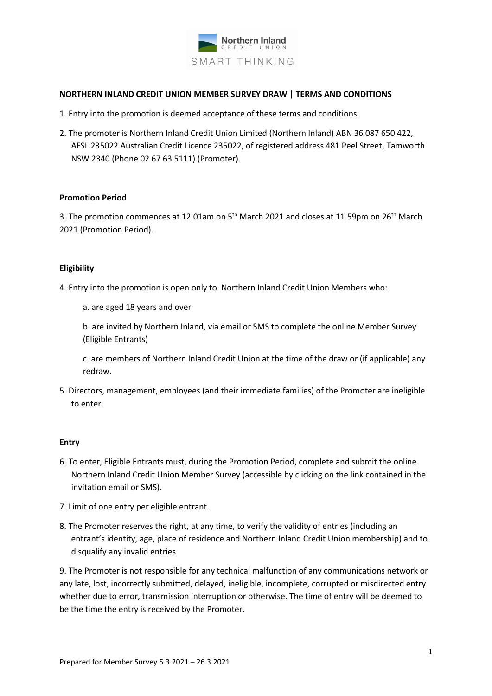

#### **NORTHERN INLAND CREDIT UNION MEMBER SURVEY DRAW | TERMS AND CONDITIONS**

- 1. Entry into the promotion is deemed acceptance of these terms and conditions.
- 2. The promoter is Northern Inland Credit Union Limited (Northern Inland) ABN 36 087 650 422, AFSL 235022 Australian Credit Licence 235022, of registered address 481 Peel Street, Tamworth NSW 2340 (Phone 02 67 63 5111) (Promoter).

#### **Promotion Period**

3. The promotion commences at 12.01am on  $5<sup>th</sup>$  March 2021 and closes at 11.59pm on 26<sup>th</sup> March 2021 (Promotion Period).

## **Eligibility**

- 4. Entry into the promotion is open only to Northern Inland Credit Union Members who:
	- a. are aged 18 years and over

b. are invited by Northern Inland, via email or SMS to complete the online Member Survey (Eligible Entrants)

c. are members of Northern Inland Credit Union at the time of the draw or (if applicable) any redraw.

5. Directors, management, employees (and their immediate families) of the Promoter are ineligible to enter.

## **Entry**

- 6. To enter, Eligible Entrants must, during the Promotion Period, complete and submit the online Northern Inland Credit Union Member Survey (accessible by clicking on the link contained in the invitation email or SMS).
- 7. Limit of one entry per eligible entrant.
- 8. The Promoter reserves the right, at any time, to verify the validity of entries (including an entrant's identity, age, place of residence and Northern Inland Credit Union membership) and to disqualify any invalid entries.

9. The Promoter is not responsible for any technical malfunction of any communications network or any late, lost, incorrectly submitted, delayed, ineligible, incomplete, corrupted or misdirected entry whether due to error, transmission interruption or otherwise. The time of entry will be deemed to be the time the entry is received by the Promoter.